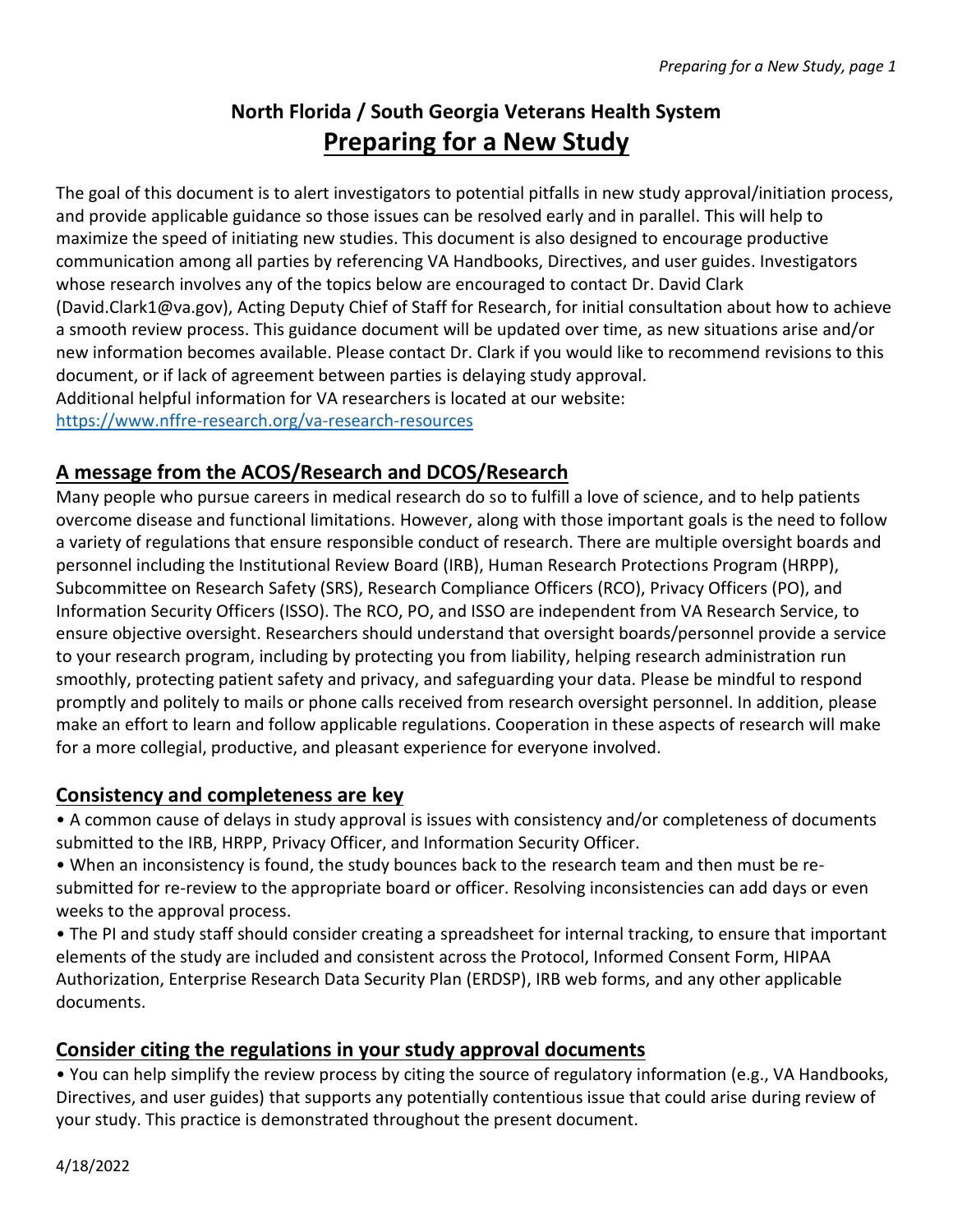# **North Florida / South Georgia Veterans Health System Preparing for a New Study**

The goal of this document is to alert investigators to potential pitfalls in new study approval/initiation process, and provide applicable guidance so those issues can be resolved early and in parallel. This will help to maximize the speed of initiating new studies. This document is also designed to encourage productive communication among all parties by referencing VA Handbooks, Directives, and user guides. Investigators whose research involves any of the topics below are encouraged to contact Dr. David Clark (David.Clark1@va.gov), Acting Deputy Chief of Staff for Research, for initial consultation about how to achieve a smooth review process. This guidance document will be updated over time, as new situations arise and/or new information becomes available. Please contact Dr. Clark if you would like to recommend revisions to this document, or if lack of agreement between parties is delaying study approval. Additional helpful information for VA researchers is located at our website: <https://www.nffre-research.org/va-research-resources>

# **A message from the ACOS/Research and DCOS/Research**

Many people who pursue careers in medical research do so to fulfill a love of science, and to help patients overcome disease and functional limitations. However, along with those important goals is the need to follow a variety of regulations that ensure responsible conduct of research. There are multiple oversight boards and personnel including the Institutional Review Board (IRB), Human Research Protections Program (HRPP), Subcommittee on Research Safety (SRS), Research Compliance Officers (RCO), Privacy Officers (PO), and Information Security Officers (ISSO). The RCO, PO, and ISSO are independent from VA Research Service, to ensure objective oversight. Researchers should understand that oversight boards/personnel provide a service to your research program, including by protecting you from liability, helping research administration run smoothly, protecting patient safety and privacy, and safeguarding your data. Please be mindful to respond promptly and politely to mails or phone calls received from research oversight personnel. In addition, please make an effort to learn and follow applicable regulations. Cooperation in these aspects of research will make for a more collegial, productive, and pleasant experience for everyone involved.

## **Consistency and completeness are key**

• A common cause of delays in study approval is issues with consistency and/or completeness of documents submitted to the IRB, HRPP, Privacy Officer, and Information Security Officer.

• When an inconsistency is found, the study bounces back to the research team and then must be resubmitted for re-review to the appropriate board or officer. Resolving inconsistencies can add days or even weeks to the approval process.

• The PI and study staff should consider creating a spreadsheet for internal tracking, to ensure that important elements of the study are included and consistent across the Protocol, Informed Consent Form, HIPAA Authorization, Enterprise Research Data Security Plan (ERDSP), IRB web forms, and any other applicable documents.

# **Consider citing the regulations in your study approval documents**

• You can help simplify the review process by citing the source of regulatory information (e.g., VA Handbooks, Directives, and user guides) that supports any potentially contentious issue that could arise during review of your study. This practice is demonstrated throughout the present document.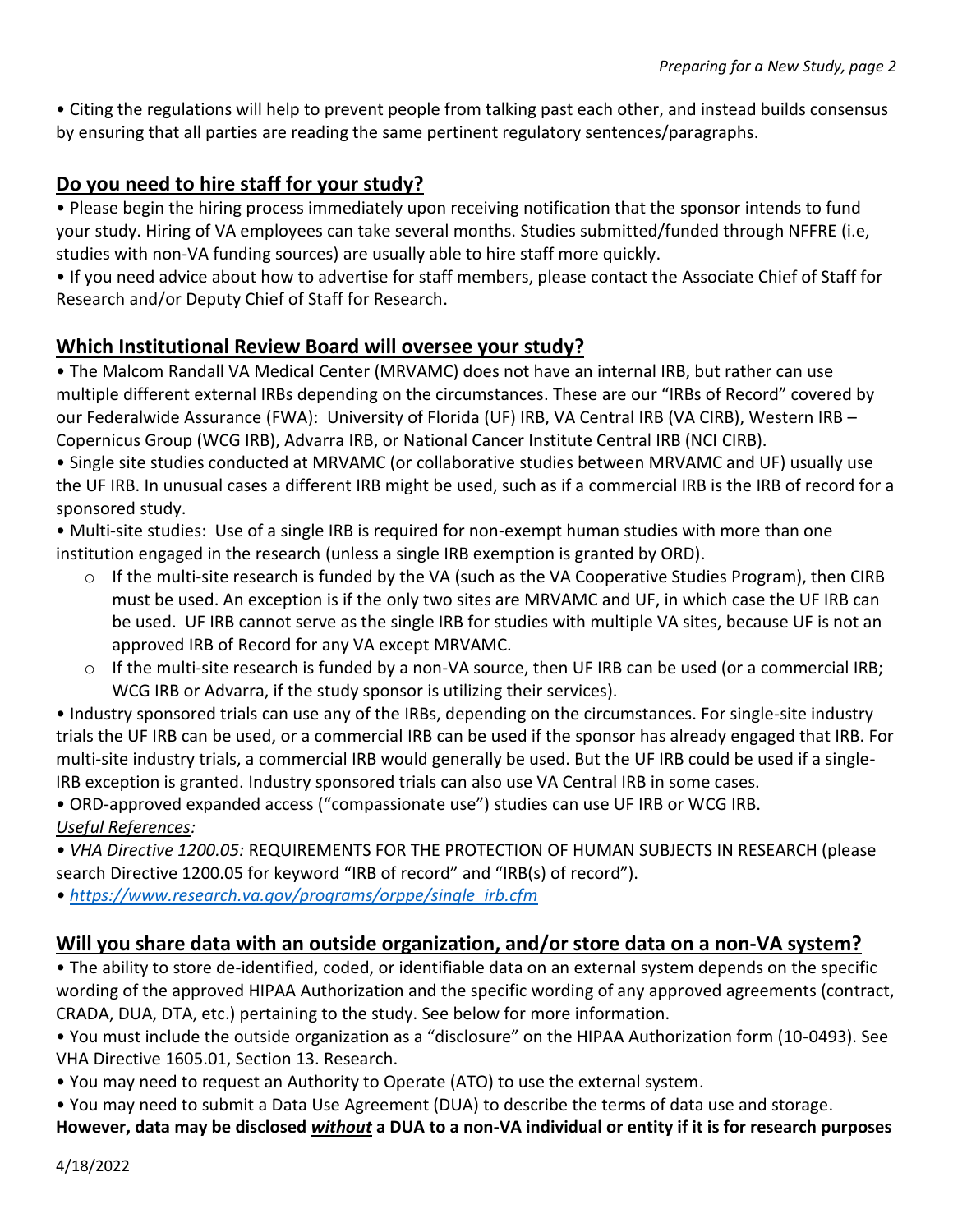• Citing the regulations will help to prevent people from talking past each other, and instead builds consensus by ensuring that all parties are reading the same pertinent regulatory sentences/paragraphs.

## **Do you need to hire staff for your study?**

• Please begin the hiring process immediately upon receiving notification that the sponsor intends to fund your study. Hiring of VA employees can take several months. Studies submitted/funded through NFFRE (i.e, studies with non-VA funding sources) are usually able to hire staff more quickly.

• If you need advice about how to advertise for staff members, please contact the Associate Chief of Staff for Research and/or Deputy Chief of Staff for Research.

#### **Which Institutional Review Board will oversee your study?**

• The Malcom Randall VA Medical Center (MRVAMC) does not have an internal IRB, but rather can use multiple different external IRBs depending on the circumstances. These are our "IRBs of Record" covered by our Federalwide Assurance (FWA): University of Florida (UF) IRB, VA Central IRB (VA CIRB), Western IRB – Copernicus Group (WCG IRB), Advarra IRB, or National Cancer Institute Central IRB (NCI CIRB).

• Single site studies conducted at MRVAMC (or collaborative studies between MRVAMC and UF) usually use the UF IRB. In unusual cases a different IRB might be used, such as if a commercial IRB is the IRB of record for a sponsored study.

• Multi-site studies: Use of a single IRB is required for non-exempt human studies with more than one institution engaged in the research (unless a single IRB exemption is granted by ORD).

- $\circ$  If the multi-site research is funded by the VA (such as the VA Cooperative Studies Program), then CIRB must be used. An exception is if the only two sites are MRVAMC and UF, in which case the UF IRB can be used. UF IRB cannot serve as the single IRB for studies with multiple VA sites, because UF is not an approved IRB of Record for any VA except MRVAMC.
- $\circ$  If the multi-site research is funded by a non-VA source, then UF IRB can be used (or a commercial IRB; WCG IRB or Advarra, if the study sponsor is utilizing their services).

• Industry sponsored trials can use any of the IRBs, depending on the circumstances. For single-site industry trials the UF IRB can be used, or a commercial IRB can be used if the sponsor has already engaged that IRB. For multi-site industry trials, a commercial IRB would generally be used. But the UF IRB could be used if a single-IRB exception is granted. Industry sponsored trials can also use VA Central IRB in some cases.

• ORD-approved expanded access ("compassionate use") studies can use UF IRB or WCG IRB. *Useful References:*

*• VHA Directive 1200.05:* REQUIREMENTS FOR THE PROTECTION OF HUMAN SUBJECTS IN RESEARCH (please search Directive 1200.05 for keyword "IRB of record" and "IRB(s) of record").

*• [https://www.research.va.gov/programs/orppe/single\\_irb.cfm](https://www.research.va.gov/programs/orppe/single_irb.cfm)*

## **Will you share data with an outside organization, and/or store data on a non-VA system?**

• The ability to store de-identified, coded, or identifiable data on an external system depends on the specific wording of the approved HIPAA Authorization and the specific wording of any approved agreements (contract, CRADA, DUA, DTA, etc.) pertaining to the study. See below for more information.

• You must include the outside organization as a "disclosure" on the HIPAA Authorization form (10-0493). See VHA Directive 1605.01, Section 13. Research.

• You may need to request an Authority to Operate (ATO) to use the external system.

• You may need to submit a Data Use Agreement (DUA) to describe the terms of data use and storage.

**However, data may be disclosed** *without* **a DUA to a non-VA individual or entity if it is for research purposes**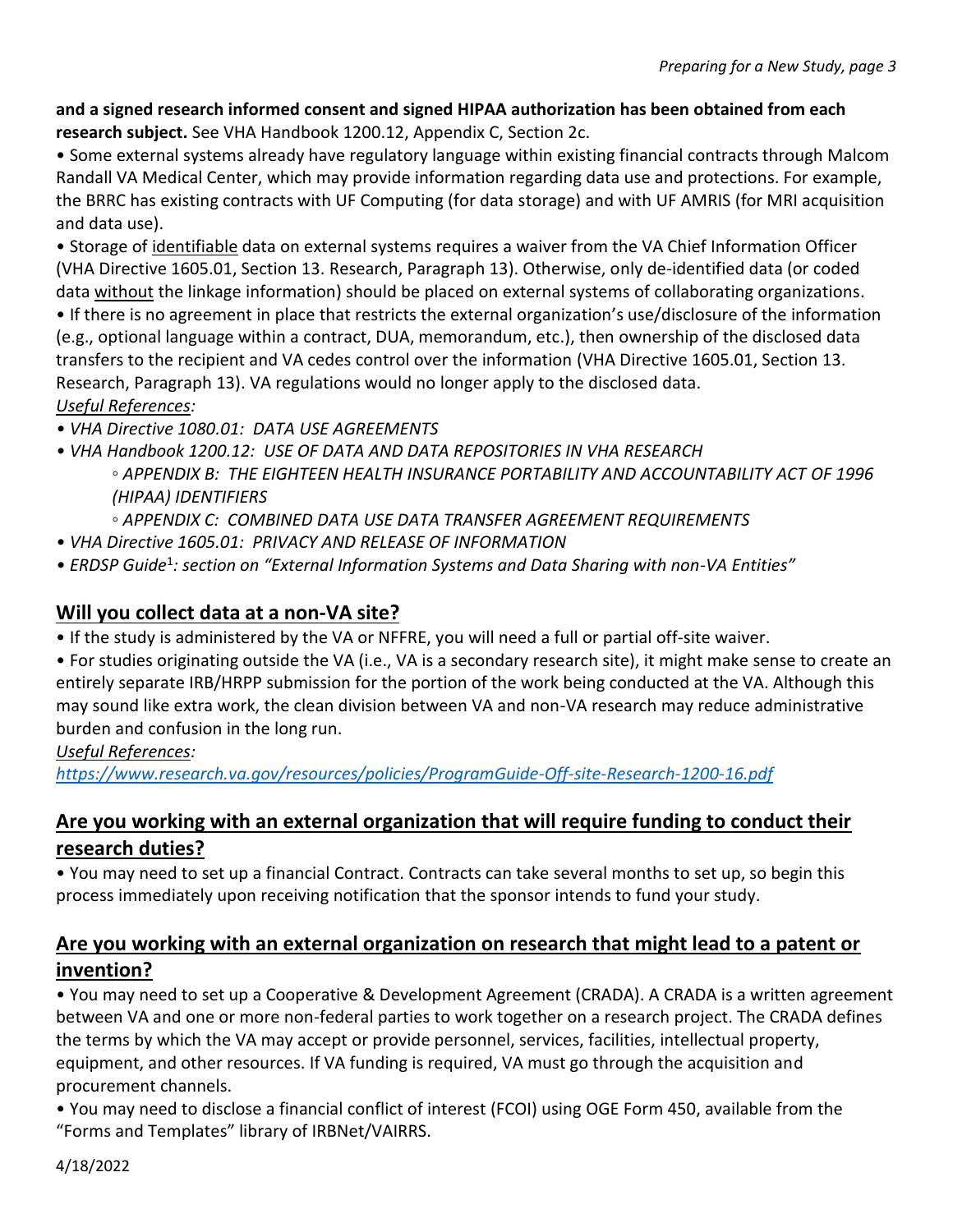#### **and a signed research informed consent and signed HIPAA authorization has been obtained from each research subject.** See VHA Handbook 1200.12, Appendix C, Section 2c.

• Some external systems already have regulatory language within existing financial contracts through Malcom Randall VA Medical Center, which may provide information regarding data use and protections. For example, the BRRC has existing contracts with UF Computing (for data storage) and with UF AMRIS (for MRI acquisition and data use).

• Storage of identifiable data on external systems requires a waiver from the VA Chief Information Officer (VHA Directive 1605.01, Section 13. Research, Paragraph 13). Otherwise, only de-identified data (or coded data without the linkage information) should be placed on external systems of collaborating organizations.

• If there is no agreement in place that restricts the external organization's use/disclosure of the information (e.g., optional language within a contract, DUA, memorandum, etc.), then ownership of the disclosed data transfers to the recipient and VA cedes control over the information (VHA Directive 1605.01, Section 13. Research, Paragraph 13). VA regulations would no longer apply to the disclosed data. *Useful References:*

- *VHA Directive 1080.01: DATA USE AGREEMENTS*
- *VHA Handbook 1200.12: USE OF DATA AND DATA REPOSITORIES IN VHA RESEARCH ◦ APPENDIX B: THE EIGHTEEN HEALTH INSURANCE PORTABILITY AND ACCOUNTABILITY ACT OF 1996 (HIPAA) IDENTIFIERS*
	- *◦ APPENDIX C: COMBINED DATA USE DATA TRANSFER AGREEMENT REQUIREMENTS*
- *VHA Directive 1605.01: PRIVACY AND RELEASE OF INFORMATION*
- *ERDSP Guide*<sup>1</sup> *: section on "External Information Systems and Data Sharing with non-VA Entities"*

#### **Will you collect data at a non-VA site?**

• If the study is administered by the VA or NFFRE, you will need a full or partial off-site waiver.

• For studies originating outside the VA (i.e., VA is a secondary research site), it might make sense to create an entirely separate IRB/HRPP submission for the portion of the work being conducted at the VA. Although this may sound like extra work, the clean division between VA and non-VA research may reduce administrative burden and confusion in the long run.

#### *Useful References:*

*<https://www.research.va.gov/resources/policies/ProgramGuide-Off-site-Research-1200-16.pdf>*

## **Are you working with an external organization that will require funding to conduct their research duties?**

• You may need to set up a financial Contract. Contracts can take several months to set up, so begin this process immediately upon receiving notification that the sponsor intends to fund your study.

#### **Are you working with an external organization on research that might lead to a patent or invention?**

• You may need to set up a Cooperative & Development Agreement (CRADA). A CRADA is a written agreement between VA and one or more non-federal parties to work together on a research project. The CRADA defines the terms by which the VA may accept or provide personnel, services, facilities, intellectual property, equipment, and other resources. If VA funding is required, VA must go through the acquisition and procurement channels.

• You may need to disclose a financial conflict of interest (FCOI) using OGE Form 450, available from the "Forms and Templates" library of IRBNet/VAIRRS.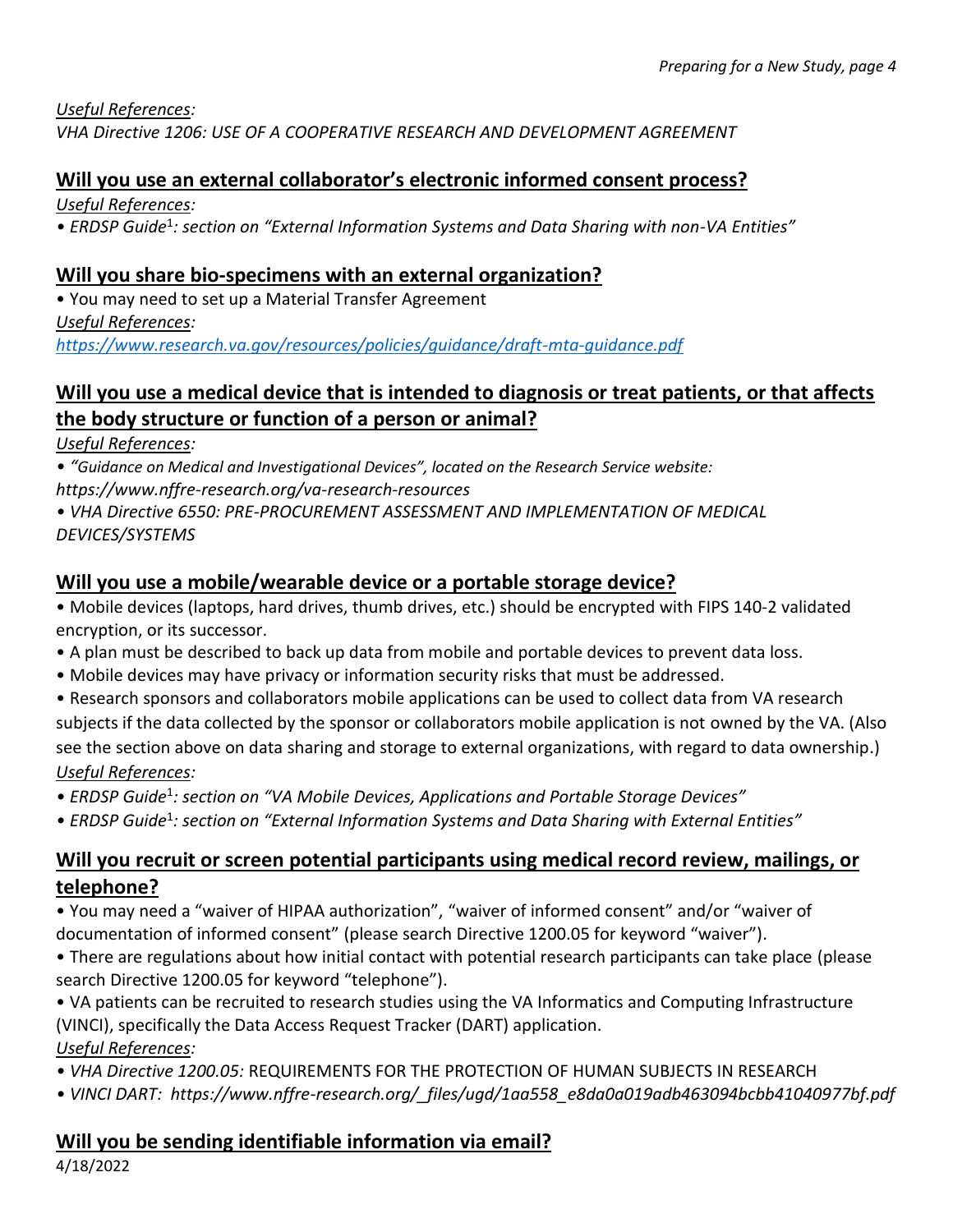*Useful References:*

*VHA Directive 1206: USE OF A COOPERATIVE RESEARCH AND DEVELOPMENT AGREEMENT*

## **Will you use an external collaborator's electronic informed consent process?**

*Useful References:*

*• ERDSP Guide*<sup>1</sup> *: section on "External Information Systems and Data Sharing with non-VA Entities"*

## **Will you share bio-specimens with an external organization?**

• You may need to set up a Material Transfer Agreement *Useful References: <https://www.research.va.gov/resources/policies/guidance/draft-mta-guidance.pdf>*

## **Will you use a medical device that is intended to diagnosis or treat patients, or that affects the body structure or function of a person or animal?**

#### *Useful References:*

*• "Guidance on Medical and Investigational Devices", located on the Research Service website:*

*https://www.nffre-research.org/va-research-resources*

*• VHA Directive 6550: PRE-PROCUREMENT ASSESSMENT AND IMPLEMENTATION OF MEDICAL DEVICES/SYSTEMS*

## **Will you use a mobile/wearable device or a portable storage device?**

• Mobile devices (laptops, hard drives, thumb drives, etc.) should be encrypted with FIPS 140-2 validated encryption, or its successor.

- A plan must be described to back up data from mobile and portable devices to prevent data loss.
- Mobile devices may have privacy or information security risks that must be addressed.
- Research sponsors and collaborators mobile applications can be used to collect data from VA research subjects if the data collected by the sponsor or collaborators mobile application is not owned by the VA. (Also see the section above on data sharing and storage to external organizations, with regard to data ownership.) *Useful References:*
- *ERDSP Guide*<sup>1</sup> *: section on "VA Mobile Devices, Applications and Portable Storage Devices"*
- *ERDSP Guide*<sup>1</sup> *: section on "External Information Systems and Data Sharing with External Entities"*

## **Will you recruit or screen potential participants using medical record review, mailings, or telephone?**

• You may need a "waiver of HIPAA authorization", "waiver of informed consent" and/or "waiver of documentation of informed consent" (please search Directive 1200.05 for keyword "waiver").

• There are regulations about how initial contact with potential research participants can take place (please search Directive 1200.05 for keyword "telephone").

• VA patients can be recruited to research studies using the VA Informatics and Computing Infrastructure (VINCI), specifically the Data Access Request Tracker (DART) application. *Useful References:*

- *VHA Directive 1200.05:* REQUIREMENTS FOR THE PROTECTION OF HUMAN SUBJECTS IN RESEARCH
- *VINCI DART: https://www.nffre-research.org/\_files/ugd/1aa558\_e8da0a019adb463094bcbb41040977bf.pdf*

## **Will you be sending identifiable information via email?**

4/18/2022